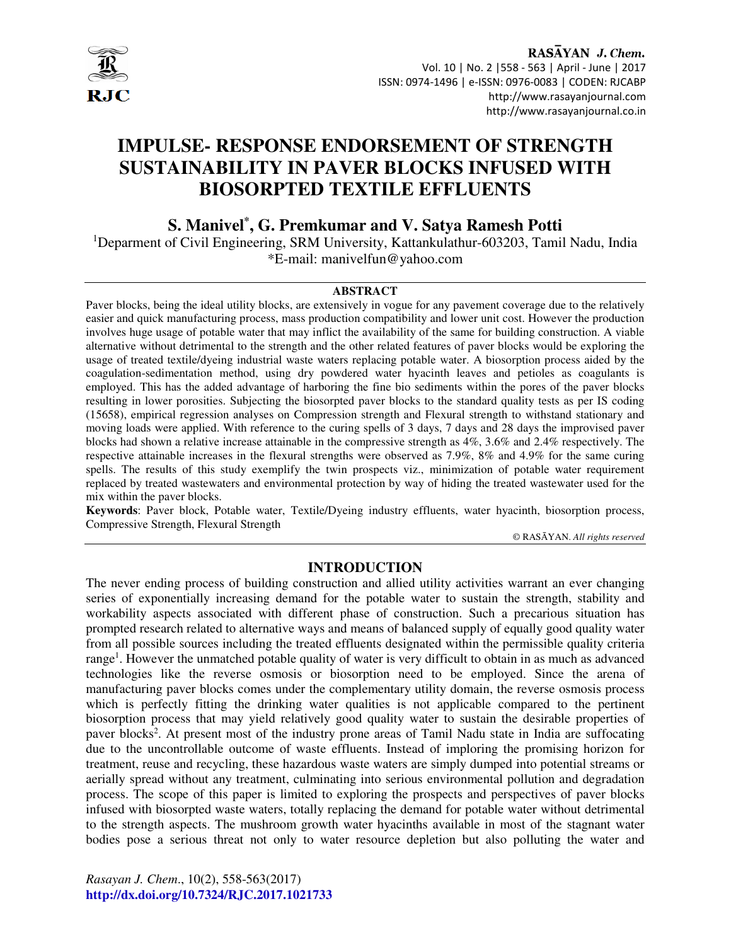

# RASAYAN J. Chem. Vol. 10 | No. 2 |558 - 563 | April - June | 2017 ISSN: 0974-1496 | e-ISSN: 0976-0083 | CODEN: RJCABP http://www.rasayanjournal.com http://www.rasayanjournal.co.in

# **IMPULSE- RESPONSE ENDORSEMENT OF STRENGTH SUSTAINABILITY IN PAVER BLOCKS INFUSED WITH BIOSORPTED TEXTILE EFFLUENTS**

# **S. Manivel\* , G. Premkumar and V. Satya Ramesh Potti**

<sup>1</sup>Deparment of Civil Engineering, SRM University, Kattankulathur-603203, Tamil Nadu, India \*E-mail: manivelfun@yahoo.com

#### **ABSTRACT**

Paver blocks, being the ideal utility blocks, are extensively in vogue for any pavement coverage due to the relatively easier and quick manufacturing process, mass production compatibility and lower unit cost. However the production involves huge usage of potable water that may inflict the availability of the same for building construction. A viable alternative without detrimental to the strength and the other related features of paver blocks would be exploring the usage of treated textile/dyeing industrial waste waters replacing potable water. A biosorption process aided by the coagulation-sedimentation method, using dry powdered water hyacinth leaves and petioles as coagulants is employed. This has the added advantage of harboring the fine bio sediments within the pores of the paver blocks resulting in lower porosities. Subjecting the biosorpted paver blocks to the standard quality tests as per IS coding (15658), empirical regression analyses on Compression strength and Flexural strength to withstand stationary and moving loads were applied. With reference to the curing spells of 3 days, 7 days and 28 days the improvised paver blocks had shown a relative increase attainable in the compressive strength as 4%, 3.6% and 2.4% respectively. The respective attainable increases in the flexural strengths were observed as 7.9%, 8% and 4.9% for the same curing spells. The results of this study exemplify the twin prospects viz., minimization of potable water requirement replaced by treated wastewaters and environmental protection by way of hiding the treated wastewater used for the mix within the paver blocks.

**Keywords**: Paver block, Potable water, Textile/Dyeing industry effluents, water hyacinth, biosorption process, Compressive Strength, Flexural Strength

© RASĀYAN. *All rights reserved*

#### **INTRODUCTION**

The never ending process of building construction and allied utility activities warrant an ever changing series of exponentially increasing demand for the potable water to sustain the strength, stability and workability aspects associated with different phase of construction. Such a precarious situation has prompted research related to alternative ways and means of balanced supply of equally good quality water from all possible sources including the treated effluents designated within the permissible quality criteria range<sup>1</sup>. However the unmatched potable quality of water is very difficult to obtain in as much as advanced technologies like the reverse osmosis or biosorption need to be employed. Since the arena of manufacturing paver blocks comes under the complementary utility domain, the reverse osmosis process which is perfectly fitting the drinking water qualities is not applicable compared to the pertinent biosorption process that may yield relatively good quality water to sustain the desirable properties of paver blocks<sup>2</sup>. At present most of the industry prone areas of Tamil Nadu state in India are suffocating due to the uncontrollable outcome of waste effluents. Instead of imploring the promising horizon for treatment, reuse and recycling, these hazardous waste waters are simply dumped into potential streams or aerially spread without any treatment, culminating into serious environmental pollution and degradation process. The scope of this paper is limited to exploring the prospects and perspectives of paver blocks infused with biosorpted waste waters, totally replacing the demand for potable water without detrimental to the strength aspects. The mushroom growth water hyacinths available in most of the stagnant water bodies pose a serious threat not only to water resource depletion but also polluting the water and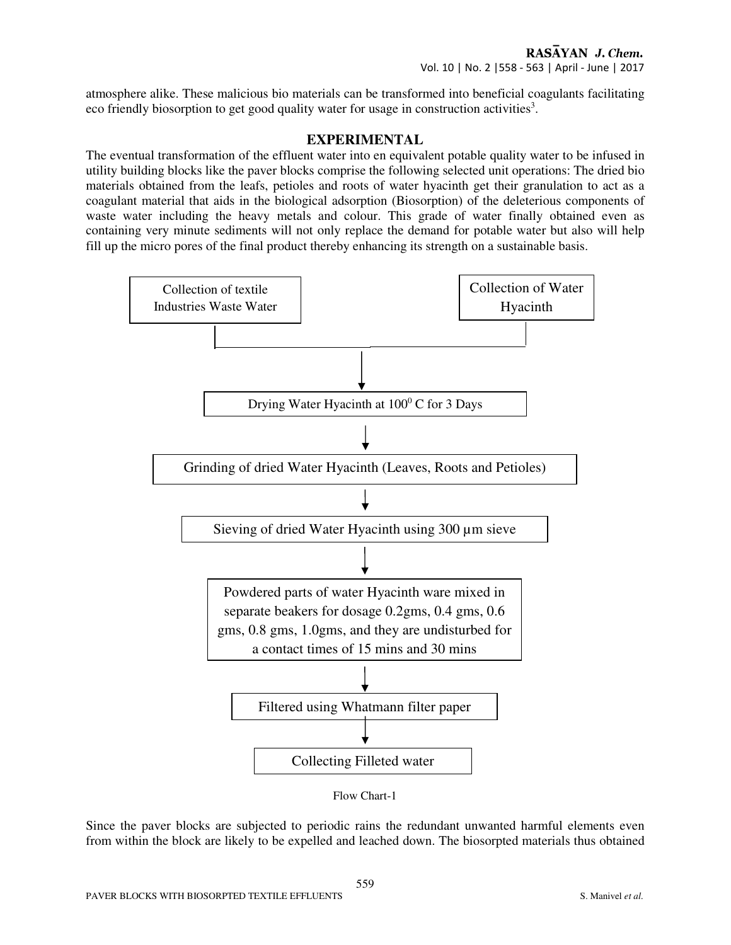atmosphere alike. These malicious bio materials can be transformed into beneficial coagulants facilitating eco friendly biosorption to get good quality water for usage in construction activities<sup>3</sup>.

## **EXPERIMENTAL**

The eventual transformation of the effluent water into en equivalent potable quality water to be infused in utility building blocks like the paver blocks comprise the following selected unit operations: The dried bio materials obtained from the leafs, petioles and roots of water hyacinth get their granulation to act as a coagulant material that aids in the biological adsorption (Biosorption) of the deleterious components of waste water including the heavy metals and colour. This grade of water finally obtained even as containing very minute sediments will not only replace the demand for potable water but also will help fill up the micro pores of the final product thereby enhancing its strength on a sustainable basis.



Flow Chart-1

Since the paver blocks are subjected to periodic rains the redundant unwanted harmful elements even from within the block are likely to be expelled and leached down. The biosorpted materials thus obtained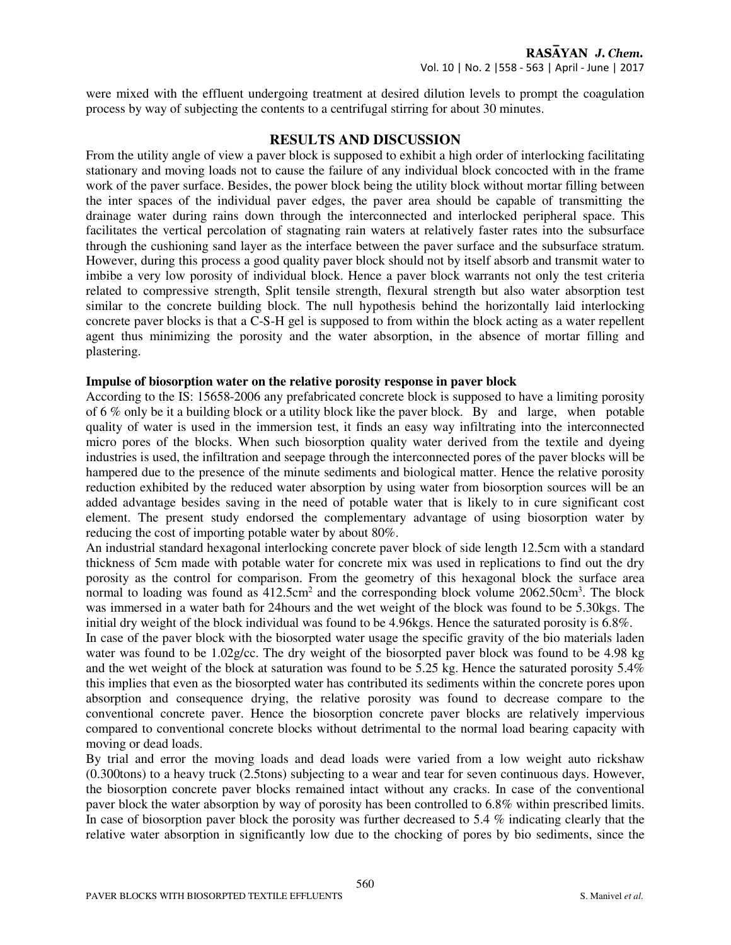# RASAYAN J. Chem. Vol. 10 | No. 2 |558 - 563 | April - June | 2017

were mixed with the effluent undergoing treatment at desired dilution levels to prompt the coagulation process by way of subjecting the contents to a centrifugal stirring for about 30 minutes.

#### **RESULTS AND DISCUSSION**

From the utility angle of view a paver block is supposed to exhibit a high order of interlocking facilitating stationary and moving loads not to cause the failure of any individual block concocted with in the frame work of the paver surface. Besides, the power block being the utility block without mortar filling between the inter spaces of the individual paver edges, the paver area should be capable of transmitting the drainage water during rains down through the interconnected and interlocked peripheral space. This facilitates the vertical percolation of stagnating rain waters at relatively faster rates into the subsurface through the cushioning sand layer as the interface between the paver surface and the subsurface stratum. However, during this process a good quality paver block should not by itself absorb and transmit water to imbibe a very low porosity of individual block. Hence a paver block warrants not only the test criteria related to compressive strength, Split tensile strength, flexural strength but also water absorption test similar to the concrete building block. The null hypothesis behind the horizontally laid interlocking concrete paver blocks is that a C-S-H gel is supposed to from within the block acting as a water repellent agent thus minimizing the porosity and the water absorption, in the absence of mortar filling and plastering.

#### **Impulse of biosorption water on the relative porosity response in paver block**

According to the IS: 15658-2006 any prefabricated concrete block is supposed to have a limiting porosity of 6 % only be it a building block or a utility block like the paver block. By and large, when potable quality of water is used in the immersion test, it finds an easy way infiltrating into the interconnected micro pores of the blocks. When such biosorption quality water derived from the textile and dyeing industries is used, the infiltration and seepage through the interconnected pores of the paver blocks will be hampered due to the presence of the minute sediments and biological matter. Hence the relative porosity reduction exhibited by the reduced water absorption by using water from biosorption sources will be an added advantage besides saving in the need of potable water that is likely to in cure significant cost element. The present study endorsed the complementary advantage of using biosorption water by reducing the cost of importing potable water by about 80%.

An industrial standard hexagonal interlocking concrete paver block of side length 12.5cm with a standard thickness of 5cm made with potable water for concrete mix was used in replications to find out the dry porosity as the control for comparison. From the geometry of this hexagonal block the surface area normal to loading was found as  $412.5 \text{cm}^2$  and the corresponding block volume  $2062.50 \text{cm}^3$ . The block was immersed in a water bath for 24hours and the wet weight of the block was found to be 5.30kgs. The initial dry weight of the block individual was found to be 4.96kgs. Hence the saturated porosity is 6.8%.

In case of the paver block with the biosorpted water usage the specific gravity of the bio materials laden water was found to be 1.02g/cc. The dry weight of the biosorpted paver block was found to be 4.98 kg and the wet weight of the block at saturation was found to be 5.25 kg. Hence the saturated porosity 5.4% this implies that even as the biosorpted water has contributed its sediments within the concrete pores upon absorption and consequence drying, the relative porosity was found to decrease compare to the conventional concrete paver. Hence the biosorption concrete paver blocks are relatively impervious compared to conventional concrete blocks without detrimental to the normal load bearing capacity with moving or dead loads.

By trial and error the moving loads and dead loads were varied from a low weight auto rickshaw (0.300tons) to a heavy truck (2.5tons) subjecting to a wear and tear for seven continuous days. However, the biosorption concrete paver blocks remained intact without any cracks. In case of the conventional paver block the water absorption by way of porosity has been controlled to 6.8% within prescribed limits. In case of biosorption paver block the porosity was further decreased to 5.4 % indicating clearly that the relative water absorption in significantly low due to the chocking of pores by bio sediments, since the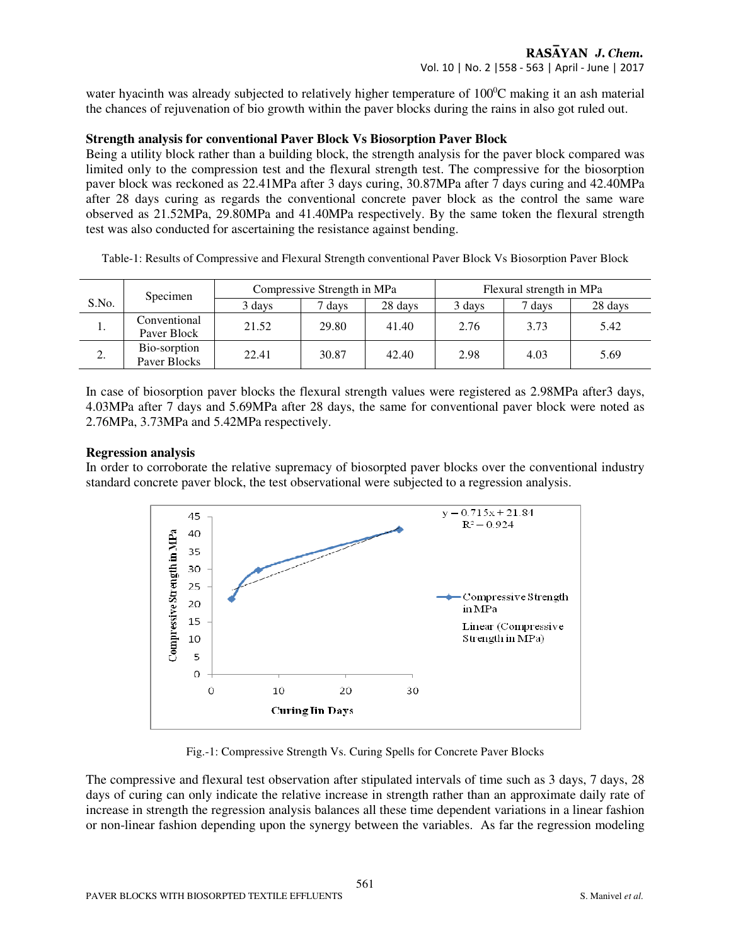# RASAYAN J. Chem. Vol. 10 | No. 2 |558 - 563 | April - June | 2017

water hyacinth was already subjected to relatively higher temperature of  $100^{\circ}$ C making it an ash material the chances of rejuvenation of bio growth within the paver blocks during the rains in also got ruled out.

#### **Strength analysis for conventional Paver Block Vs Biosorption Paver Block**

Being a utility block rather than a building block, the strength analysis for the paver block compared was limited only to the compression test and the flexural strength test. The compressive for the biosorption paver block was reckoned as 22.41MPa after 3 days curing, 30.87MPa after 7 days curing and 42.40MPa after 28 days curing as regards the conventional concrete paver block as the control the same ware observed as 21.52MPa, 29.80MPa and 41.40MPa respectively. By the same token the flexural strength test was also conducted for ascertaining the resistance against bending.

| Table-1: Results of Compressive and Flexural Strength conventional Paver Block Vs Biosorption Paver Block |  |  |
|-----------------------------------------------------------------------------------------------------------|--|--|
|                                                                                                           |  |  |
|                                                                                                           |  |  |
|                                                                                                           |  |  |

|                          | Specimen                     | Compressive Strength in MPa |       |         | Flexural strength in MPa |        |         |
|--------------------------|------------------------------|-----------------------------|-------|---------|--------------------------|--------|---------|
| S.No.                    |                              | 3 days                      | days  | 28 days | 3 days                   | 7 days | 28 days |
| ı.                       | Conventional<br>Paver Block  | 21.52                       | 29.80 | 41.40   | 2.76                     | 3.73   | 5.42    |
| $\overline{\phantom{a}}$ | Bio-sorption<br>Paver Blocks | 22.41                       | 30.87 | 42.40   | 2.98                     | 4.03   | 5.69    |

In case of biosorption paver blocks the flexural strength values were registered as 2.98MPa after3 days, 4.03MPa after 7 days and 5.69MPa after 28 days, the same for conventional paver block were noted as 2.76MPa, 3.73MPa and 5.42MPa respectively.

#### **Regression analysis**

In order to corroborate the relative supremacy of biosorpted paver blocks over the conventional industry standard concrete paver block, the test observational were subjected to a regression analysis.



Fig.-1: Compressive Strength Vs. Curing Spells for Concrete Paver Blocks

The compressive and flexural test observation after stipulated intervals of time such as 3 days, 7 days, 28 days of curing can only indicate the relative increase in strength rather than an approximate daily rate of increase in strength the regression analysis balances all these time dependent variations in a linear fashion or non-linear fashion depending upon the synergy between the variables. As far the regression modeling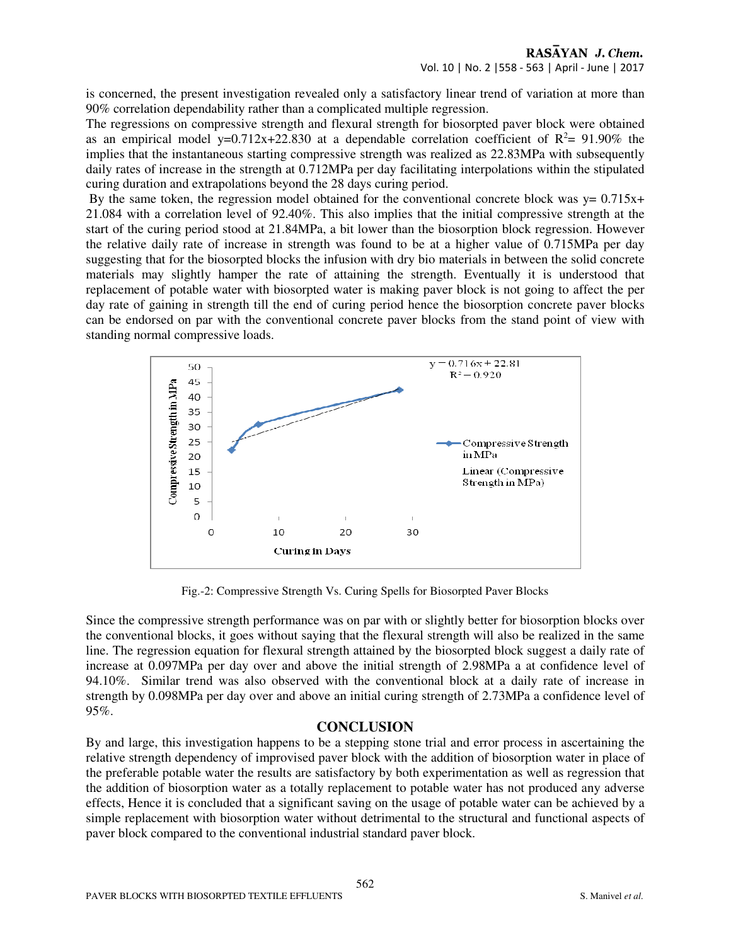is concerned, the present investigation revealed only a satisfactory linear trend of variation at more than 90% correlation dependability rather than a complicated multiple regression.

The regressions on compressive strength and flexural strength for biosorpted paver block were obtained as an empirical model y=0.712x+22.830 at a dependable correlation coefficient of  $R^2$ = 91.90% the implies that the instantaneous starting compressive strength was realized as 22.83MPa with subsequently daily rates of increase in the strength at 0.712MPa per day facilitating interpolations within the stipulated curing duration and extrapolations beyond the 28 days curing period.

By the same token, the regression model obtained for the conventional concrete block was  $y = 0.715x+$ 21.084 with a correlation level of 92.40%. This also implies that the initial compressive strength at the start of the curing period stood at 21.84MPa, a bit lower than the biosorption block regression. However the relative daily rate of increase in strength was found to be at a higher value of 0.715MPa per day suggesting that for the biosorpted blocks the infusion with dry bio materials in between the solid concrete materials may slightly hamper the rate of attaining the strength. Eventually it is understood that replacement of potable water with biosorpted water is making paver block is not going to affect the per day rate of gaining in strength till the end of curing period hence the biosorption concrete paver blocks can be endorsed on par with the conventional concrete paver blocks from the stand point of view with standing normal compressive loads.



Fig.-2: Compressive Strength Vs. Curing Spells for Biosorpted Paver Blocks

Since the compressive strength performance was on par with or slightly better for biosorption blocks over the conventional blocks, it goes without saying that the flexural strength will also be realized in the same line. The regression equation for flexural strength attained by the biosorpted block suggest a daily rate of increase at 0.097MPa per day over and above the initial strength of 2.98MPa a at confidence level of 94.10%. Similar trend was also observed with the conventional block at a daily rate of increase in strength by 0.098MPa per day over and above an initial curing strength of 2.73MPa a confidence level of 95%.

# **CONCLUSION**

By and large, this investigation happens to be a stepping stone trial and error process in ascertaining the relative strength dependency of improvised paver block with the addition of biosorption water in place of the preferable potable water the results are satisfactory by both experimentation as well as regression that the addition of biosorption water as a totally replacement to potable water has not produced any adverse effects, Hence it is concluded that a significant saving on the usage of potable water can be achieved by a simple replacement with biosorption water without detrimental to the structural and functional aspects of paver block compared to the conventional industrial standard paver block.